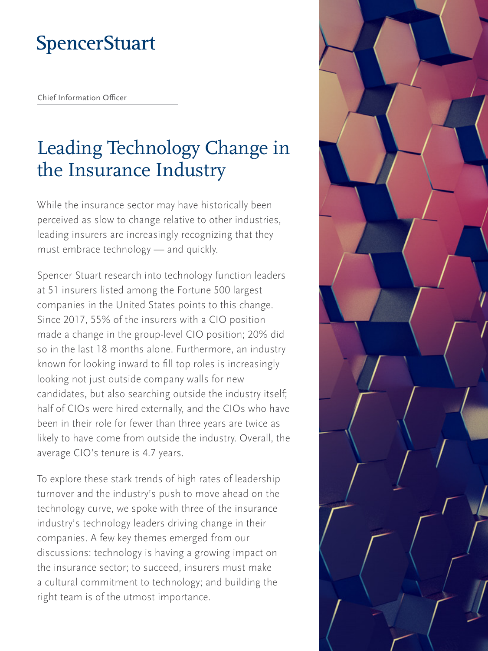# **SpencerStuart**

Chief Information Officer

# Leading Technology Change in the Insurance Industry

While the insurance sector may have historically been perceived as slow to change relative to other industries, leading insurers are increasingly recognizing that they must embrace technology — and quickly.

Spencer Stuart research into technology function leaders at 51 insurers listed among the Fortune 500 largest companies in the United States points to this change. Since 2017, 55% of the insurers with a CIO position made a change in the group-level CIO position; 20% did so in the last 18 months alone. Furthermore, an industry known for looking inward to fill top roles is increasingly looking not just outside company walls for new candidates, but also searching outside the industry itself; half of CIOs were hired externally, and the CIOs who have been in their role for fewer than three years are twice as likely to have come from outside the industry. Overall, the average CIO's tenure is 4.7 years.

To explore these stark trends of high rates of leadership turnover and the industry's push to move ahead on the technology curve, we spoke with three of the insurance industry's technology leaders driving change in their companies. A few key themes emerged from our discussions: technology is having a growing impact on the insurance sector; to succeed, insurers must make a cultural commitment to technology; and building the right team is of the utmost importance.

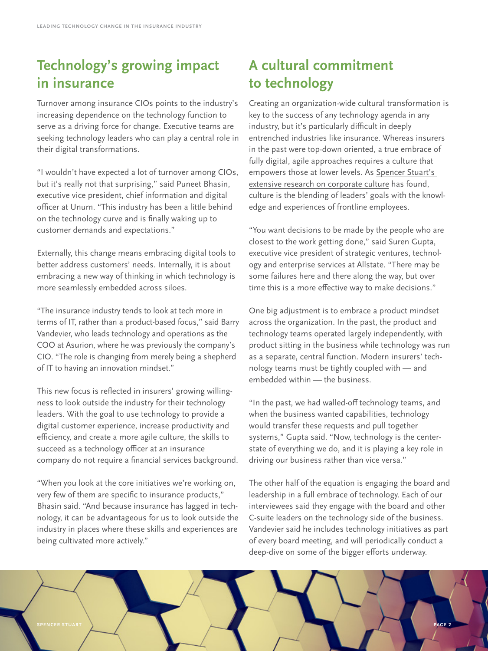#### **Technology's growing impact in insurance**

Turnover among insurance CIOs points to the industry's increasing dependence on the technology function to serve as a driving force for change. Executive teams are seeking technology leaders who can play a central role in their digital transformations.

"I wouldn't have expected a lot of turnover among CIOs, but it's really not that surprising," said Puneet Bhasin, executive vice president, chief information and digital officer at Unum. "This industry has been a little behind on the technology curve and is finally waking up to customer demands and expectations."

Externally, this change means embracing digital tools to better address customers' needs. Internally, it is about embracing a new way of thinking in which technology is more seamlessly embedded across siloes.

"The insurance industry tends to look at tech more in terms of IT, rather than a product-based focus," said Barry Vandevier, who leads technology and operations as the COO at Asurion, where he was previously the company's CIO. "The role is changing from merely being a shepherd of IT to having an innovation mindset."

This new focus is reflected in insurers' growing willingness to look outside the industry for their technology leaders. With the goal to use technology to provide a digital customer experience, increase productivity and efficiency, and create a more agile culture, the skills to succeed as a technology officer at an insurance company do not require a financial services background.

"When you look at the core initiatives we're working on, very few of them are specific to insurance products," Bhasin said. "And because insurance has lagged in technology, it can be advantageous for us to look outside the industry in places where these skills and experiences are being cultivated more actively."

#### **A cultural commitment to technology**

Creating an organization-wide cultural transformation is key to the success of any technology agenda in any industry, but it's particularly difficult in deeply entrenched industries like insurance. Whereas insurers in the past were top-down oriented, a true embrace of fully digital, agile approaches requires a culture that empowers those at lower levels. As [Spencer Stuart's](https://www.spencerstuart.com/research-and-insight/harvard-business-review-the-leaders-guide-to-corporate-culture)  [extensive research on corporate culture](https://www.spencerstuart.com/research-and-insight/harvard-business-review-the-leaders-guide-to-corporate-culture) has found, culture is the blending of leaders' goals with the knowledge and experiences of frontline employees.

"You want decisions to be made by the people who are closest to the work getting done," said Suren Gupta, executive vice president of strategic ventures, technology and enterprise services at Allstate. "There may be some failures here and there along the way, but over time this is a more effective way to make decisions."

One big adjustment is to embrace a product mindset across the organization. In the past, the product and technology teams operated largely independently, with product sitting in the business while technology was run as a separate, central function. Modern insurers' technology teams must be tightly coupled with — and embedded within — the business.

"In the past, we had walled-off technology teams, and when the business wanted capabilities, technology would transfer these requests and pull together systems," Gupta said. "Now, technology is the centerstate of everything we do, and it is playing a key role in driving our business rather than vice versa."

The other half of the equation is engaging the board and leadership in a full embrace of technology. Each of our interviewees said they engage with the board and other C-suite leaders on the technology side of the business. Vandevier said he includes technology initiatives as part of every board meeting, and will periodically conduct a deep-dive on some of the bigger efforts underway.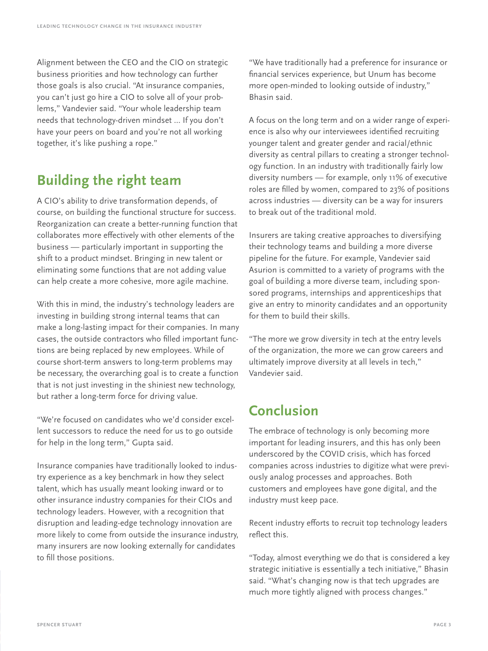Alignment between the CEO and the CIO on strategic business priorities and how technology can further those goals is also crucial. "At insurance companies, you can't just go hire a CIO to solve all of your problems," Vandevier said. "Your whole leadership team needs that technology-driven mindset ... If you don't have your peers on board and you're not all working together, it's like pushing a rope."

## **Building the right team**

A CIO's ability to drive transformation depends, of course, on building the functional structure for success. Reorganization can create a better-running function that collaborates more effectively with other elements of the business — particularly important in supporting the shift to a product mindset. Bringing in new talent or eliminating some functions that are not adding value can help create a more cohesive, more agile machine.

With this in mind, the industry's technology leaders are investing in building strong internal teams that can make a long-lasting impact for their companies. In many cases, the outside contractors who filled important functions are being replaced by new employees. While of course short-term answers to long-term problems may be necessary, the overarching goal is to create a function that is not just investing in the shiniest new technology, but rather a long-term force for driving value.

"We're focused on candidates who we'd consider excellent successors to reduce the need for us to go outside for help in the long term," Gupta said.

Insurance companies have traditionally looked to industry experience as a key benchmark in how they select talent, which has usually meant looking inward or to other insurance industry companies for their CIOs and technology leaders. However, with a recognition that disruption and leading-edge technology innovation are more likely to come from outside the insurance industry, many insurers are now looking externally for candidates to fill those positions.

"We have traditionally had a preference for insurance or financial services experience, but Unum has become more open-minded to looking outside of industry," Bhasin said.

A focus on the long term and on a wider range of experience is also why our interviewees identified recruiting younger talent and greater gender and racial/ethnic diversity as central pillars to creating a stronger technology function. In an industry with traditionally fairly low diversity numbers — for example, only 11% of executive roles are filled by women, compared to 23% of positions across industries — diversity can be a way for insurers to break out of the traditional mold.

Insurers are taking creative approaches to diversifying their technology teams and building a more diverse pipeline for the future. For example, Vandevier said Asurion is committed to a variety of programs with the goal of building a more diverse team, including sponsored programs, internships and apprenticeships that give an entry to minority candidates and an opportunity for them to build their skills.

"The more we grow diversity in tech at the entry levels of the organization, the more we can grow careers and ultimately improve diversity at all levels in tech," Vandevier said.

## **Conclusion**

The embrace of technology is only becoming more important for leading insurers, and this has only been underscored by the COVID crisis, which has forced companies across industries to digitize what were previously analog processes and approaches. Both customers and employees have gone digital, and the industry must keep pace.

Recent industry efforts to recruit top technology leaders reflect this.

"Today, almost everything we do that is considered a key strategic initiative is essentially a tech initiative," Bhasin said. "What's changing now is that tech upgrades are much more tightly aligned with process changes."